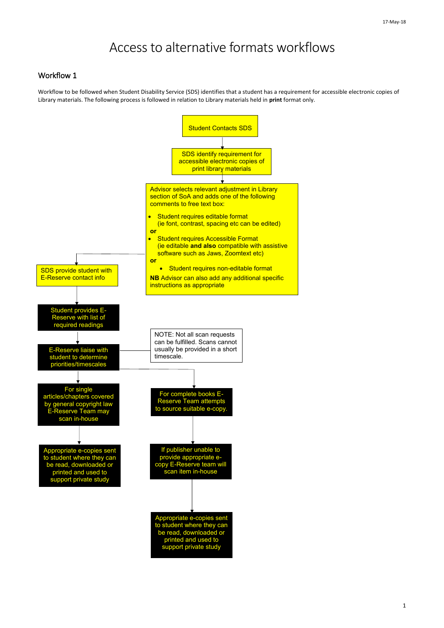1

## Access to alternative formats workflows

## Workflow 1

Workflow to be followed when Student Disability Service (SDS) identifies that a student has a requirement for accessible electronic copies of Library materials. The following process is followed in relation to Library materials held in **print** format only.



support private study

Appropriate e-copies sent to student where they can be read, downloaded or printed and used to support private study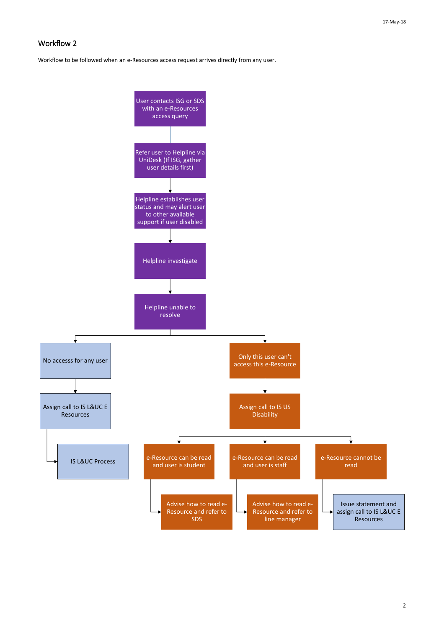2

## Workflow 2

Workflow to be followed when an e-Resources access request arrives directly from any user.